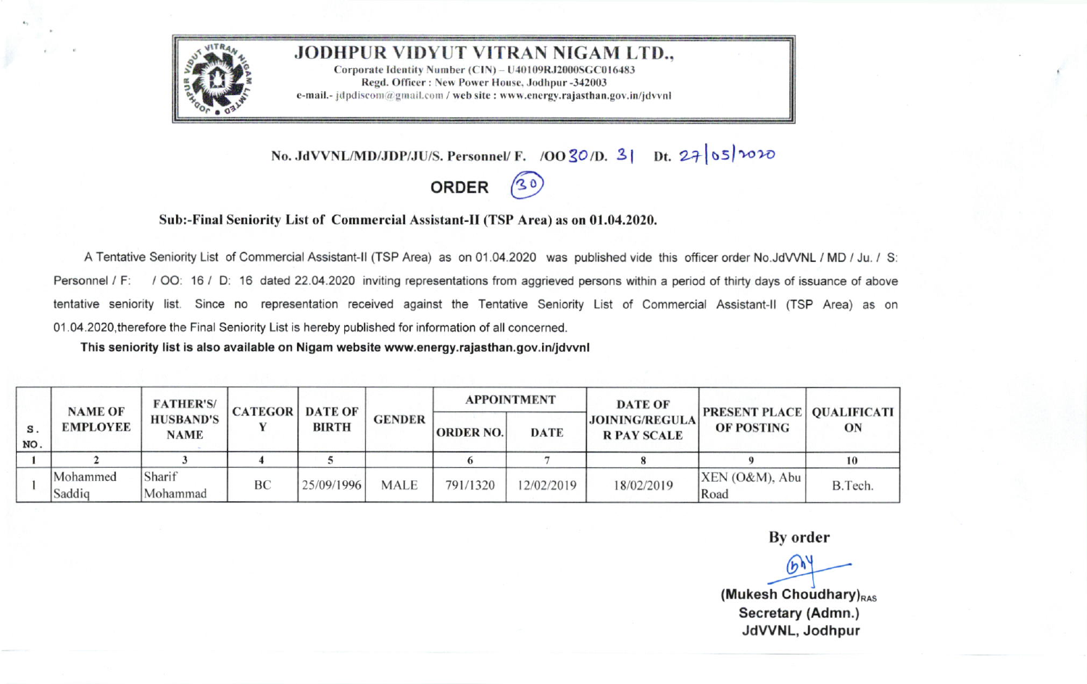

## **JODHPUR VIDYUT VITRAN NIGAM LTD.**

Corporate Identity Number (CIN) - U40109RJ2000SGC016483 Regd. Officer: New Power House, Jodhpur -342003 e-mail.- idpdiscom@gmail.com / web site : www.energy.rajasthan.gov.in/idvvnl

No. JdVVNL/MD/JDP/JU/S. Personnel/ F. /OO 30/D. 3| Dt. 27 05 1020

## **ORDER**  $(30)$

## Sub:-Final Seniority List of Commercial Assistant-II (TSP Area) as on 01.04.2020.

A Tentative Seniority List of Commercial Assistant-II (TSP Area) as on 01.04.2020 was published vide this officer order No.JdVVNL / MD / Ju. / S: Personnel / F: / OO: 16 / D: 16 dated 22.04.2020 inviting representations from aggrieved persons within a period of thirty days of issuance of above tentative seniority list. Since no representation received against the Tentative Seniority List of Commercial Assistant-II (TSP Area) as on 01.04.2020, therefore the Final Seniority List is hereby published for information of all concerned.

This seniority list is also available on Nigam website www.energy.rajasthan.gov.in/jdvvnl

|              | <b>NAME OF</b><br><b>EMPLOYEE</b> | <b>FATHER'S/</b><br><b>HUSBAND'S</b><br><b>NAME</b> | <b>CATEGOR</b> | <b>DATE OF</b><br><b>BIRTH</b> | <b>GENDER</b> | <b>APPOINTMENT</b> |             | <b>DATE OF</b>                              | <b>PRESENT PLACE   QUALIFICATI  </b> |         |
|--------------|-----------------------------------|-----------------------------------------------------|----------------|--------------------------------|---------------|--------------------|-------------|---------------------------------------------|--------------------------------------|---------|
| $s$ .<br>NO. |                                   |                                                     |                |                                |               | <b>ORDER NO.</b>   | <b>DATE</b> | <b>JOINING/REGULA</b><br><b>R PAY SCALE</b> | <b>OF POSTING</b>                    | ON      |
|              |                                   |                                                     |                |                                |               |                    |             |                                             |                                      | 10      |
|              | Mohammed<br>Saddiq                | Sharif<br>Mohammad                                  | <b>BC</b>      | 25/09/1996                     | <b>MALE</b>   | 791/1320           | 12/02/2019  | 18/02/2019                                  | $XEN (O\&M)$ , Abu<br>Road           | B.Tech. |

By order

 $(b)$ 

(Mukesh Choudhary) $_{RAS}$ Secretary (Admn.) JdVVNL, Jodhpur